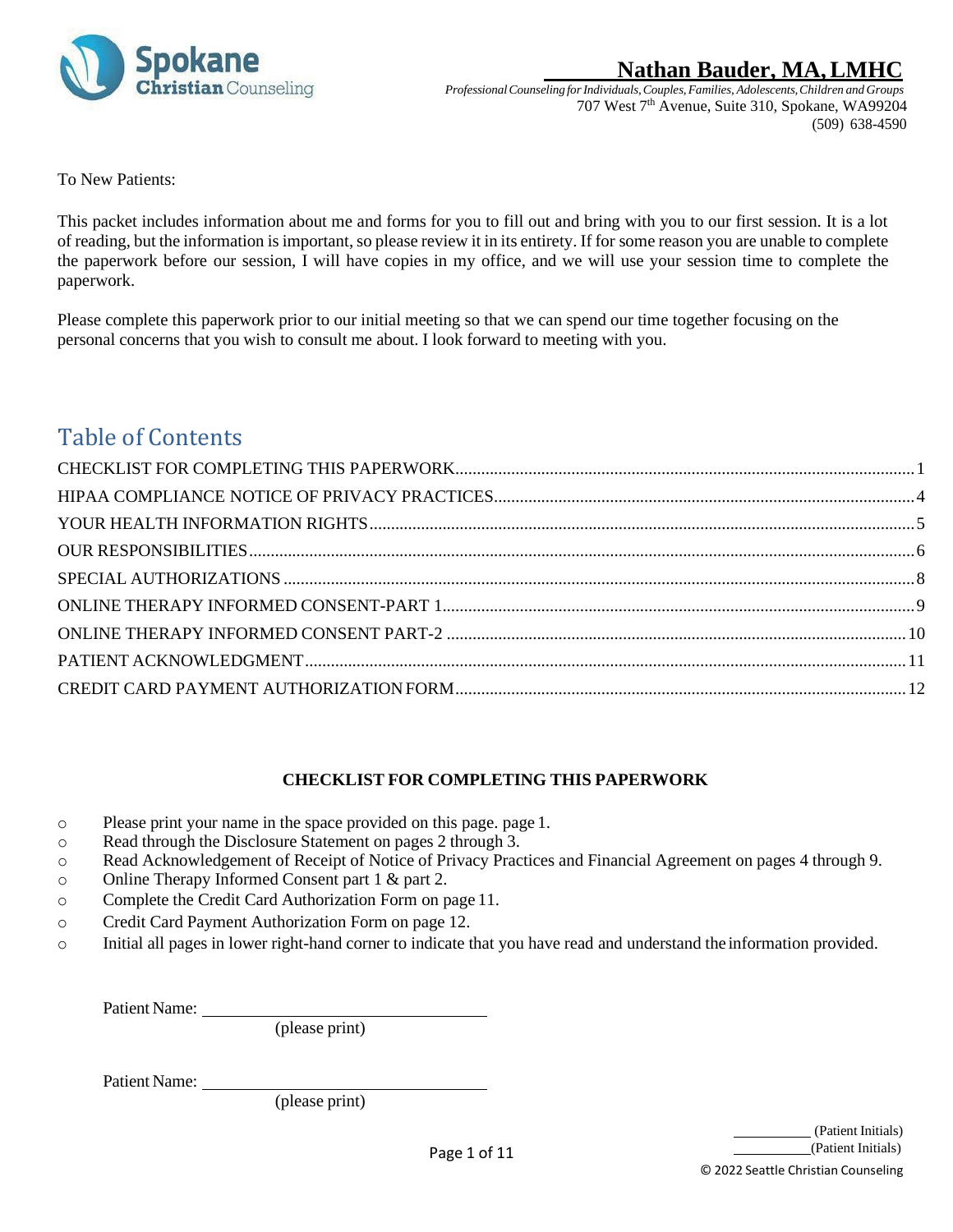

*ProfessionalCounseling forIndividuals,Couples,Families, Adolescents,Children and Groups* 707 West 7<sup>th</sup> Avenue, Suite 310, Spokane, WA99204 (509) 638-4590

To New Patients:

This packet includes information about me and forms for you to fill out and bring with you to our first session. It is a lot of reading, but the information is important, so please review it in its entirety. If for some reason you are unable to complete the paperwork before our session, I will have copies in my office, and we will use your session time to complete the paperwork.

Please complete this paperwork prior to our initial meeting so that we can spend our time together focusing on the personal concerns that you wish to consult me about. I look forward to meeting with you.

# Table of Contents

### **CHECKLIST FOR COMPLETING THIS PAPERWORK**

- <span id="page-0-0"></span>o Please print your name in the space provided on this page. page 1.
- o Read through the Disclosure Statement on pages 2 through 3.
- o Read Acknowledgement of Receipt of Notice of Privacy Practices and Financial Agreement on pages 4 through 9.
- o Online Therapy Informed Consent part 1 & part 2.
- o Complete the Credit Card Authorization Form on page 11.
- o Credit Card Payment Authorization Form on page 12.
- o Initial all pages in lower right-hand corner to indicate that you have read and understand the information provided.

Patient Name:

(please print)

Patient Name:

(please print)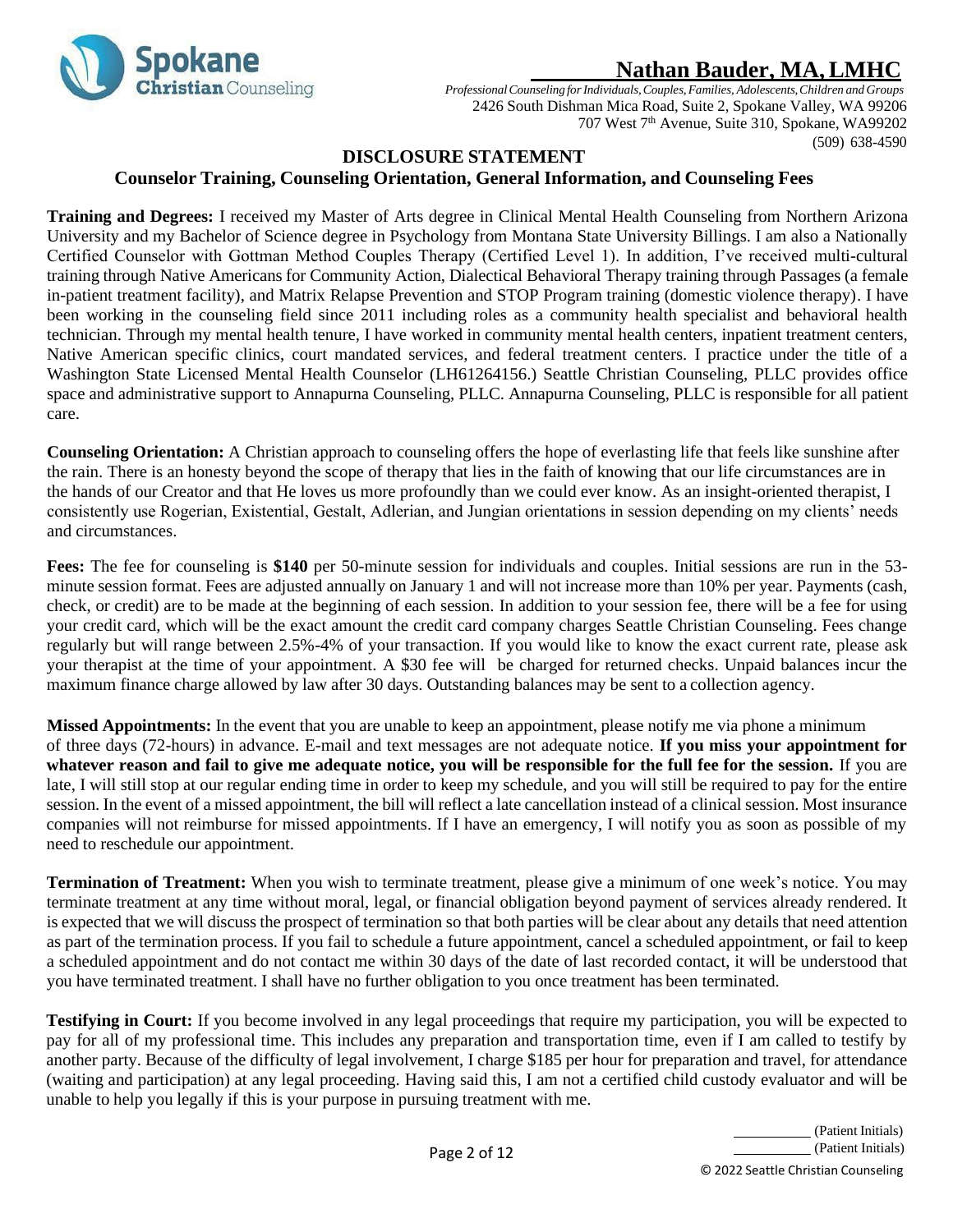

*ProfessionalCounseling forIndividuals,Couples,Families, Adolescents,Children and Groups* 2426 South Dishman Mica Road, Suite 2, Spokane Valley, WA 99206 707 West 7<sup>th</sup> Avenue, Suite 310, Spokane, WA99202 (509) 638-4590

### **DISCLOSURE STATEMENT**

### **Counselor Training, Counseling Orientation, General Information, and Counseling Fees**

**Training and Degrees:** I received my Master of Arts degree in Clinical Mental Health Counseling from Northern Arizona University and my Bachelor of Science degree in Psychology from Montana State University Billings. I am also a Nationally Certified Counselor with Gottman Method Couples Therapy (Certified Level 1). In addition, I've received multi-cultural training through Native Americans for Community Action, Dialectical Behavioral Therapy training through Passages (a female in-patient treatment facility), and Matrix Relapse Prevention and STOP Program training (domestic violence therapy). I have been working in the counseling field since 2011 including roles as a community health specialist and behavioral health technician. Through my mental health tenure, I have worked in community mental health centers, inpatient treatment centers, Native American specific clinics, court mandated services, and federal treatment centers. I practice under the title of a Washington State Licensed Mental Health Counselor (LH61264156.) Seattle Christian Counseling, PLLC provides office space and administrative support to Annapurna Counseling, PLLC. Annapurna Counseling, PLLC is responsible for all patient care.

**Counseling Orientation:** A Christian approach to counseling offers the hope of everlasting life that feels like sunshine after the rain. There is an honesty beyond the scope of therapy that lies in the faith of knowing that our life circumstances are in the hands of our Creator and that He loves us more profoundly than we could ever know. As an insight-oriented therapist, I consistently use Rogerian, Existential, Gestalt, Adlerian, and Jungian orientations in session depending on my clients' needs and circumstances.

**Fees:** The fee for counseling is **\$140** per 50-minute session for individuals and couples. Initial sessions are run in the 53 minute session format. Fees are adjusted annually on January 1 and will not increase more than 10% per year. Payments (cash, check, or credit) are to be made at the beginning of each session. In addition to your session fee, there will be a fee for using your credit card, which will be the exact amount the credit card company charges Seattle Christian Counseling. Fees change regularly but will range between 2.5%-4% of your transaction. If you would like to know the exact current rate, please ask your therapist at the time of your appointment. A \$30 fee will be charged for returned checks. Unpaid balances incur the maximum finance charge allowed by law after 30 days. Outstanding balances may be sent to a collection agency.

**Missed Appointments:** In the event that you are unable to keep an appointment, please notify me via phone a minimum of three days (72-hours) in advance. E-mail and text messages are not adequate notice. **If you miss your appointment for whatever reason and fail to give me adequate notice, you will be responsible for the full fee for the session.** If you are late, I will still stop at our regular ending time in order to keep my schedule, and you will still be required to pay for the entire session. In the event of a missed appointment, the bill will reflect a late cancellation instead of a clinical session. Most insurance companies will not reimburse for missed appointments. If I have an emergency, I will notify you as soon as possible of my need to reschedule our appointment.

**Termination of Treatment:** When you wish to terminate treatment, please give a minimum of one week's notice. You may terminate treatment at any time without moral, legal, or financial obligation beyond payment of services already rendered. It is expected that we will discuss the prospect of termination so that both parties will be clear about any details that need attention as part of the termination process. If you fail to schedule a future appointment, cancel a scheduled appointment, or fail to keep a scheduled appointment and do not contact me within 30 days of the date of last recorded contact, it will be understood that you have terminated treatment. I shall have no further obligation to you once treatment has been terminated.

**Testifying in Court:** If you become involved in any legal proceedings that require my participation, you will be expected to pay for all of my professional time. This includes any preparation and transportation time, even if I am called to testify by another party. Because of the difficulty of legal involvement, I charge \$185 per hour for preparation and travel, for attendance (waiting and participation) at any legal proceeding. Having said this, I am not a certified child custody evaluator and will be unable to help you legally if this is your purpose in pursuing treatment with me.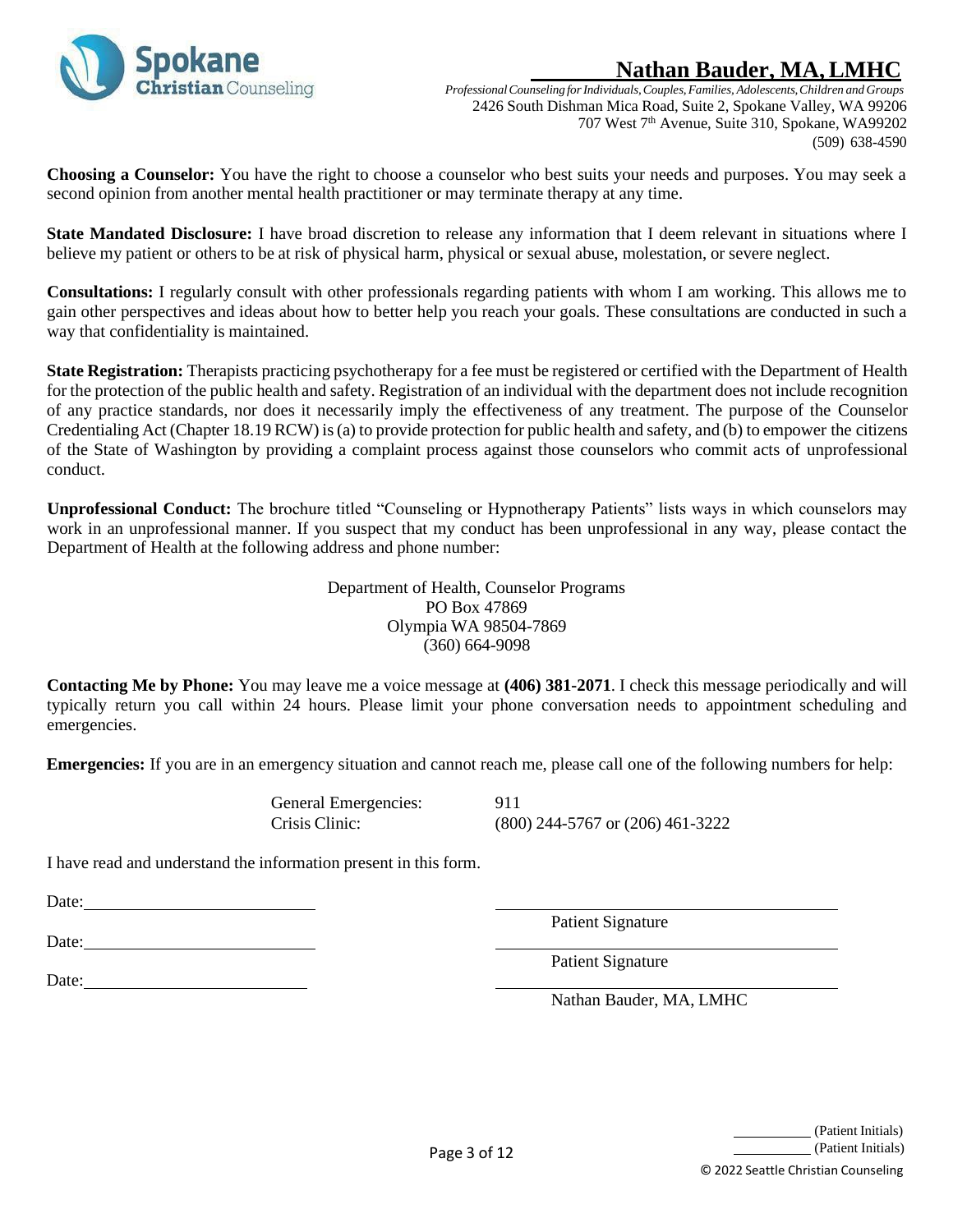

*ProfessionalCounseling forIndividuals,Couples,Families, Adolescents,Children and Groups* 2426 South Dishman Mica Road, Suite 2, Spokane Valley, WA 99206 707 West 7<sup>th</sup> Avenue, Suite 310, Spokane, WA99202 (509) 638-4590

**Choosing a Counselor:** You have the right to choose a counselor who best suits your needs and purposes. You may seek a second opinion from another mental health practitioner or may terminate therapy at any time.

**State Mandated Disclosure:** I have broad discretion to release any information that I deem relevant in situations where I believe my patient or others to be at risk of physical harm, physical or sexual abuse, molestation, or severe neglect.

**Consultations:** I regularly consult with other professionals regarding patients with whom I am working. This allows me to gain other perspectives and ideas about how to better help you reach your goals. These consultations are conducted in such a way that confidentiality is maintained.

**State Registration:** Therapists practicing psychotherapy for a fee must be registered or certified with the Department of Health for the protection of the public health and safety. Registration of an individual with the department does not include recognition of any practice standards, nor does it necessarily imply the effectiveness of any treatment. The purpose of the Counselor Credentialing Act (Chapter 18.19 RCW) is (a) to provide protection for public health and safety, and (b) to empower the citizens of the State of Washington by providing a complaint process against those counselors who commit acts of unprofessional conduct.

**Unprofessional Conduct:** The brochure titled "Counseling or Hypnotherapy Patients" lists ways in which counselors may work in an unprofessional manner. If you suspect that my conduct has been unprofessional in any way, please contact the Department of Health at the following address and phone number:

> Department of Health, Counselor Programs PO Box 47869 Olympia WA 98504-7869 (360) 664-9098

**Contacting Me by Phone:** You may leave me a voice message at **(406) 381-2071**. I check this message periodically and will typically return you call within 24 hours. Please limit your phone conversation needs to appointment scheduling and emergencies.

**Emergencies:** If you are in an emergency situation and cannot reach me, please call one of the following numbers for help:

General Emergencies: 911

Crisis Clinic: (800) 244-5767 or (206) 461-3222

I have read and understand the information present in this form.

Date:

Date:

Date:

Patient Signature

Patient Signature

Nathan Bauder, MA, LMHC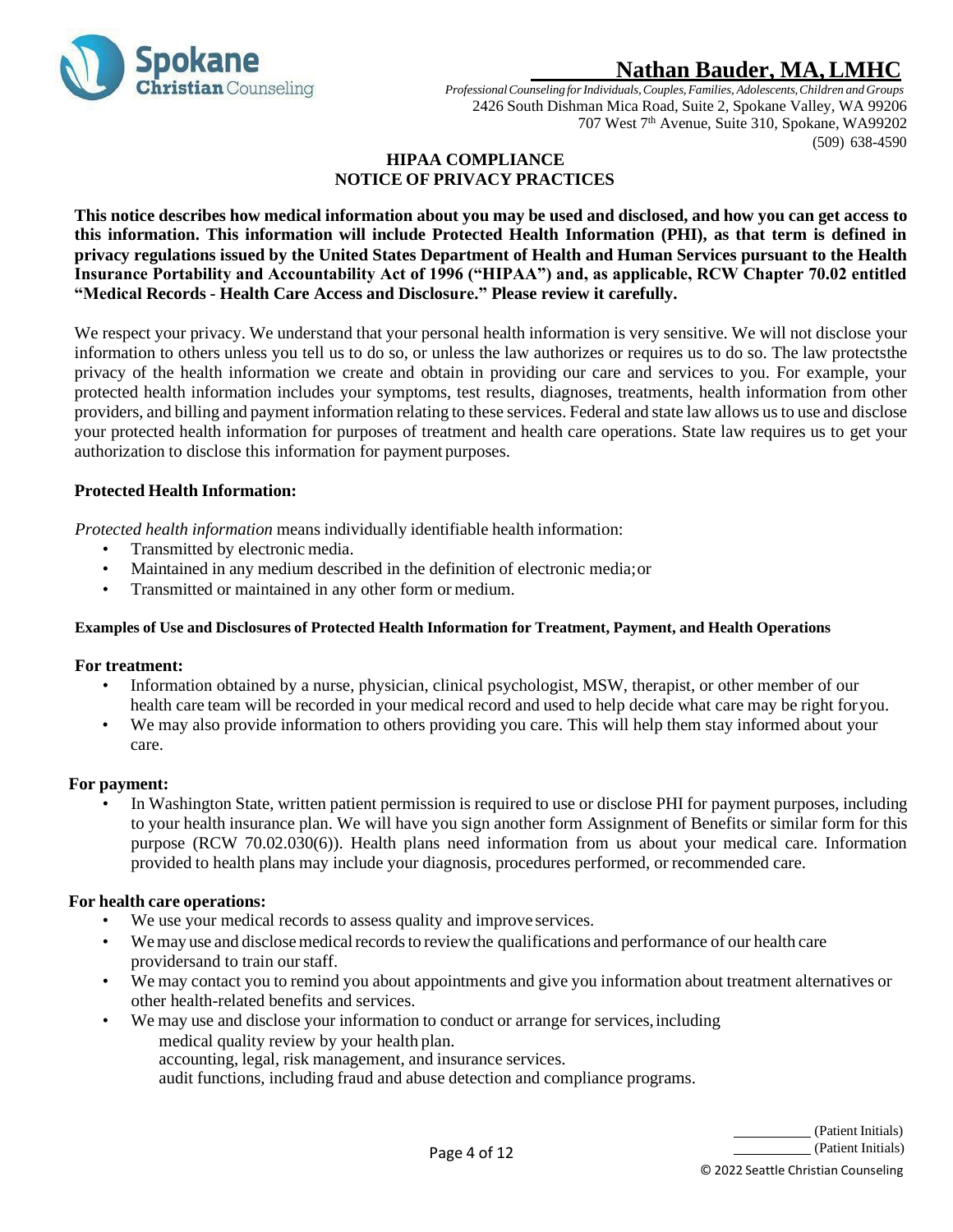

*ProfessionalCounseling forIndividuals,Couples,Families, Adolescents,Children and Groups* 2426 South Dishman Mica Road, Suite 2, Spokane Valley, WA 99206 707 West 7<sup>th</sup> Avenue, Suite 310, Spokane, WA99202 (509) 638-4590

#### **HIPAA COMPLIANCE NOTICE OF PRIVACY PRACTICES**

<span id="page-3-0"></span>**This notice describes how medical information about you may be used and disclosed, and how you can get access to this information. This information will include Protected Health Information (PHI), as that term is defined in privacy regulations issued by the United States Department of Health and Human Services pursuant to the Health Insurance Portability and Accountability Act of 1996 ("HIPAA") and, as applicable, RCW Chapter 70.02 entitled "Medical Records - Health Care Access and Disclosure." Please review it carefully.**

We respect your privacy. We understand that your personal health information is very sensitive. We will not disclose your information to others unless you tell us to do so, or unless the law authorizes or requires us to do so. The law protectsthe privacy of the health information we create and obtain in providing our care and services to you. For example, your protected health information includes your symptoms, test results, diagnoses, treatments, health information from other providers, and billing and payment information relating to these services. Federal and state law allows us to use and disclose your protected health information for purposes of treatment and health care operations. State law requires us to get your authorization to disclose this information for payment purposes.

### **Protected Health Information:**

*Protected health information* means individually identifiable health information:

- Transmitted by electronic media.
- Maintained in any medium described in the definition of electronic media;or
- Transmitted or maintained in any other form or medium.

#### **Examples of Use and Disclosures of Protected Health Information for Treatment, Payment, and Health Operations**

#### **For treatment:**

- Information obtained by a nurse, physician, clinical psychologist, MSW, therapist, or other member of our health care team will be recorded in your medical record and used to help decide what care may be right foryou.
- We may also provide information to others providing you care. This will help them stay informed about your care.

#### **For payment:**

• In Washington State, written patient permission is required to use or disclose PHI for payment purposes, including to your health insurance plan. We will have you sign another form Assignment of Benefits or similar form for this purpose (RCW 70.02.030(6)). Health plans need information from us about your medical care. Information provided to health plans may include your diagnosis, procedures performed, or recommended care.

#### **For health care operations:**

- We use your medical records to assess quality and improve services.
- We may use and disclose medical records to review the qualifications and performance of our health care providersand to train ourstaff.
- We may contact you to remind you about appointments and give you information about treatment alternatives or other health-related benefits and services.
- We may use and disclose your information to conduct or arrange for services, including medical quality review by your health plan. accounting, legal, risk management, and insurance services. audit functions, including fraud and abuse detection and compliance programs.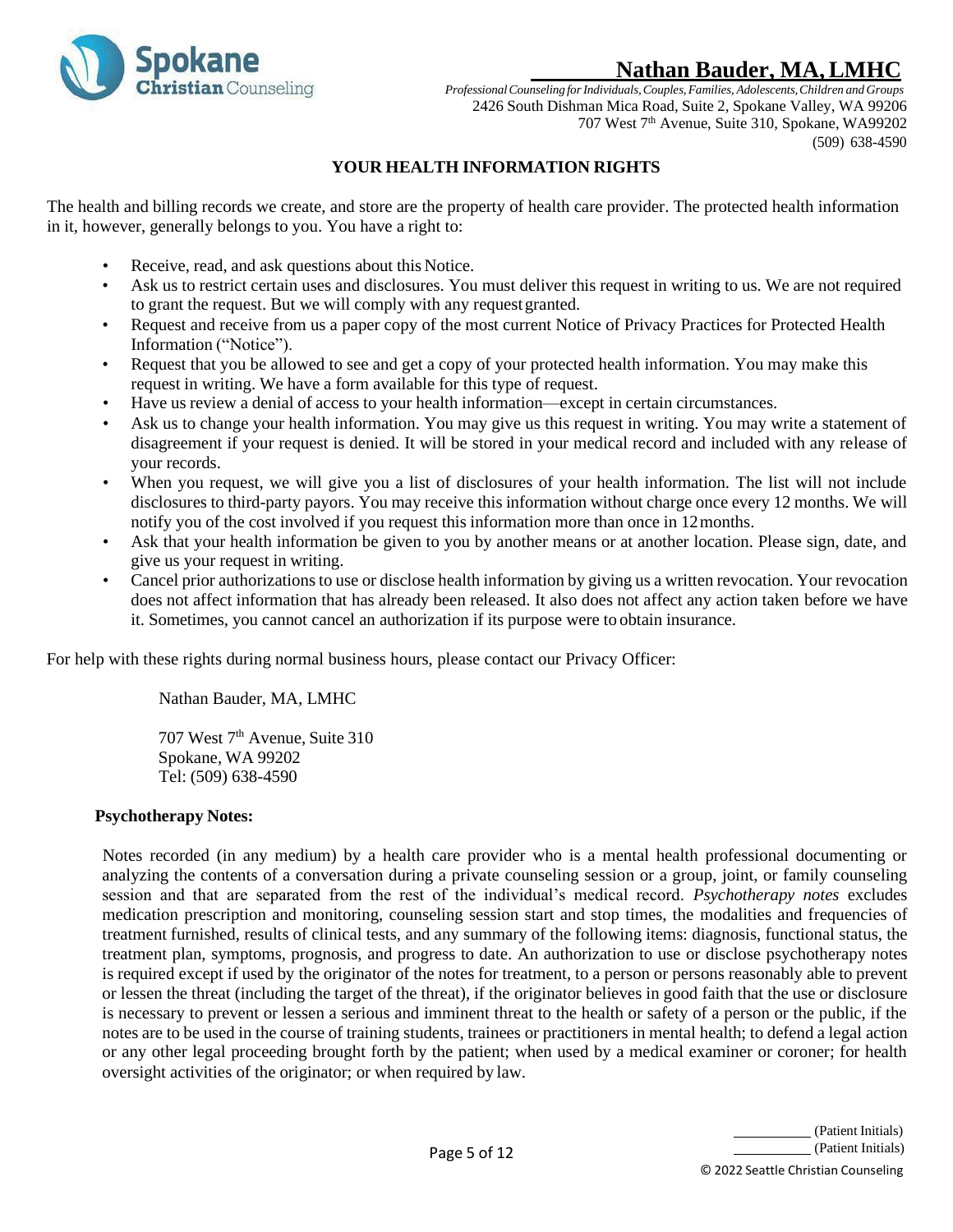

*ProfessionalCounseling forIndividuals,Couples,Families, Adolescents,Children and Groups* 2426 South Dishman Mica Road, Suite 2, Spokane Valley, WA 99206 707 West 7<sup>th</sup> Avenue, Suite 310, Spokane, WA99202 (509) 638-4590

## **YOUR HEALTH INFORMATION RIGHTS**

<span id="page-4-0"></span>The health and billing records we create, and store are the property of health care provider. The protected health information in it, however, generally belongs to you. You have a right to:

- Receive, read, and ask questions about this Notice.
- Ask us to restrict certain uses and disclosures. You must deliver this request in writing to us. We are not required to grant the request. But we will comply with any request granted.
- Request and receive from us a paper copy of the most current Notice of Privacy Practices for Protected Health Information ("Notice").
- Request that you be allowed to see and get a copy of your protected health information. You may make this request in writing. We have a form available for this type of request.
- Have us review a denial of access to your health information—except in certain circumstances.
- Ask us to change your health information. You may give us this request in writing. You may write a statement of disagreement if your request is denied. It will be stored in your medical record and included with any release of your records.
- When you request, we will give you a list of disclosures of your health information. The list will not include disclosures to third-party payors. You may receive this information without charge once every 12 months. We will notify you of the cost involved if you request this information more than once in 12months.
- Ask that your health information be given to you by another means or at another location. Please sign, date, and give us your request in writing.
- Cancel prior authorizations to use or disclose health information by giving us a written revocation. Your revocation does not affect information that has already been released. It also does not affect any action taken before we have it. Sometimes, you cannot cancel an authorization if its purpose were to obtain insurance.

For help with these rights during normal business hours, please contact our Privacy Officer:

Nathan Bauder, MA, LMHC

707 West 7<sup>th</sup> Avenue, Suite 310 Spokane, WA 99202 Tel: (509) 638-4590

### **Psychotherapy Notes:**

Notes recorded (in any medium) by a health care provider who is a mental health professional documenting or analyzing the contents of a conversation during a private counseling session or a group, joint, or family counseling session and that are separated from the rest of the individual's medical record. *Psychotherapy notes* excludes medication prescription and monitoring, counseling session start and stop times, the modalities and frequencies of treatment furnished, results of clinical tests, and any summary of the following items: diagnosis, functional status, the treatment plan, symptoms, prognosis, and progress to date. An authorization to use or disclose psychotherapy notes is required except if used by the originator of the notes for treatment, to a person or persons reasonably able to prevent or lessen the threat (including the target of the threat), if the originator believes in good faith that the use or disclosure is necessary to prevent or lessen a serious and imminent threat to the health or safety of a person or the public, if the notes are to be used in the course of training students, trainees or practitioners in mental health; to defend a legal action or any other legal proceeding brought forth by the patient; when used by a medical examiner or coroner; for health oversight activities of the originator; or when required by law.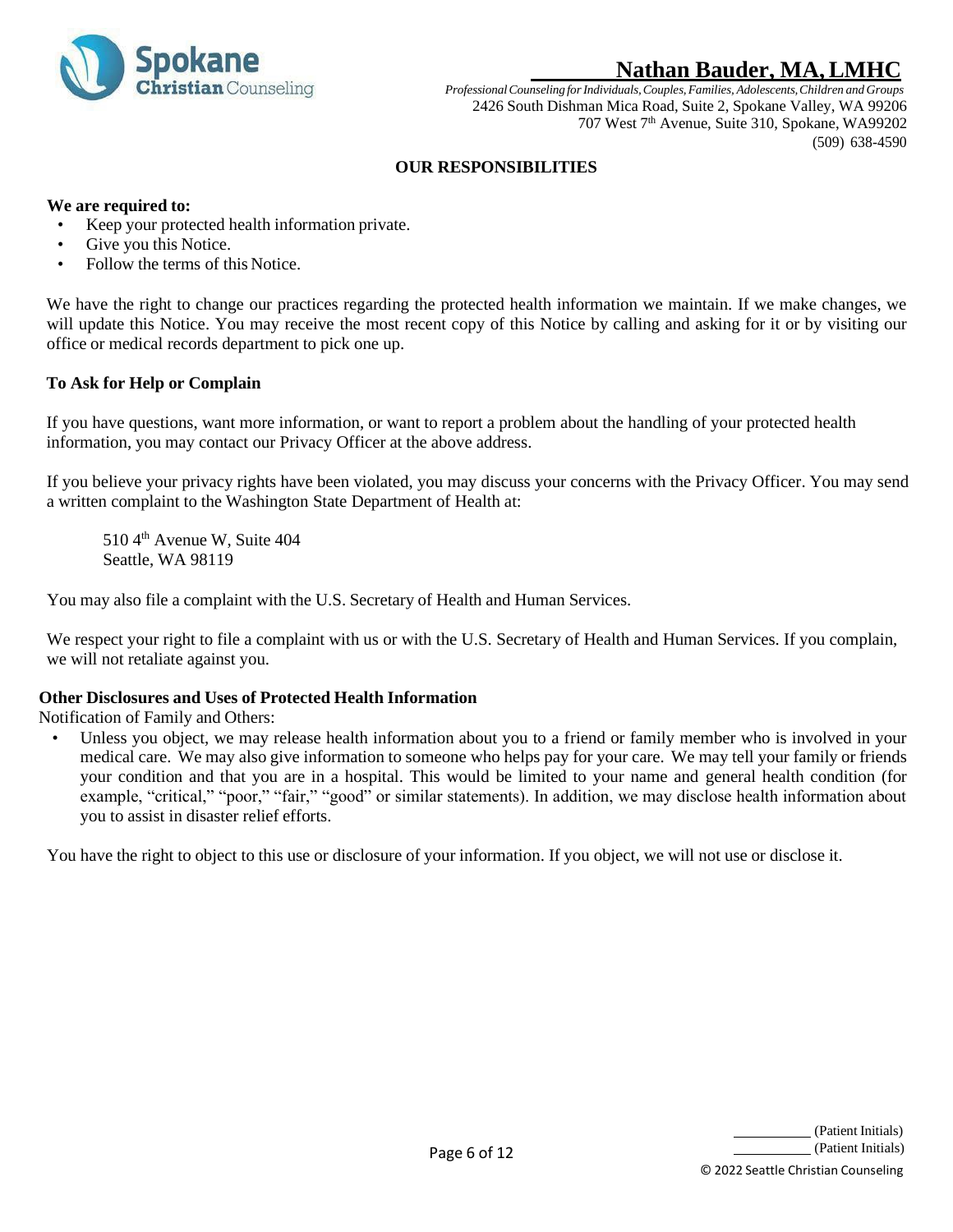

*ProfessionalCounseling forIndividuals,Couples,Families, Adolescents,Children and Groups* 2426 South Dishman Mica Road, Suite 2, Spokane Valley, WA 99206 707 West 7<sup>th</sup> Avenue, Suite 310, Spokane, WA99202 (509) 638-4590

### **OUR RESPONSIBILITIES**

#### <span id="page-5-0"></span>**We are required to:**

- Keep your protected health information private.
- Give you this Notice.
- Follow the terms of this Notice.

We have the right to change our practices regarding the protected health information we maintain. If we make changes, we will update this Notice. You may receive the most recent copy of this Notice by calling and asking for it or by visiting our office or medical records department to pick one up.

#### **To Ask for Help or Complain**

If you have questions, want more information, or want to report a problem about the handling of your protected health information, you may contact our Privacy Officer at the above address.

If you believe your privacy rights have been violated, you may discuss your concerns with the Privacy Officer. You may send a written complaint to the Washington State Department of Health at:

510 4<sup>th</sup> Avenue W, Suite 404 Seattle, WA 98119

You may also file a complaint with the U.S. Secretary of Health and Human Services.

We respect your right to file a complaint with us or with the U.S. Secretary of Health and Human Services. If you complain, we will not retaliate against you.

#### **Other Disclosures and Uses of Protected Health Information**

Notification of Family and Others:

Unless you object, we may release health information about you to a friend or family member who is involved in your medical care. We may also give information to someone who helps pay for your care. We may tell your family or friends your condition and that you are in a hospital. This would be limited to your name and general health condition (for example, "critical," "poor," "fair," "good" or similar statements). In addition, we may disclose health information about you to assist in disaster relief efforts.

You have the right to object to this use or disclosure of your information. If you object, we will not use or disclose it.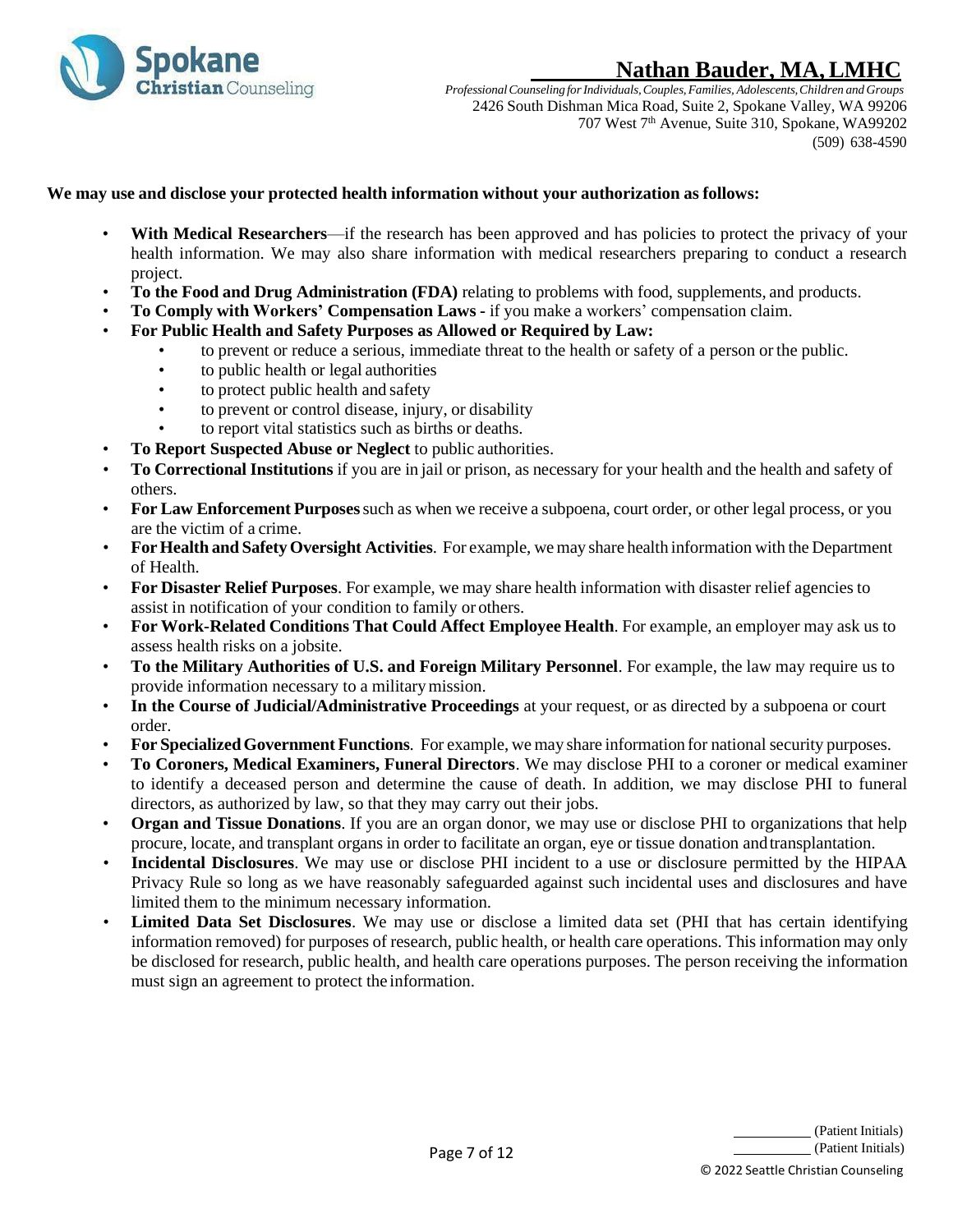

*ProfessionalCounseling forIndividuals,Couples,Families, Adolescents,Children and Groups* 2426 South Dishman Mica Road, Suite 2, Spokane Valley, WA 99206 707 West 7<sup>th</sup> Avenue, Suite 310, Spokane, WA99202 (509) 638-4590

#### **We may use and disclose your protected health information without your authorization as follows:**

- **With Medical Researchers—if the research has been approved and has policies to protect the privacy of your** health information. We may also share information with medical researchers preparing to conduct a research project.
- **To the Food and Drug Administration (FDA)** relating to problems with food, supplements, and products.
- **To Comply with Workers' Compensation Laws -** if you make a workers' compensation claim.
- **For Public Health and Safety Purposes as Allowed or Required by Law:**
	- to prevent or reduce a serious, immediate threat to the health or safety of a person or the public.
	- to public health or legal authorities
	- to protect public health and safety
	- to prevent or control disease, injury, or disability
	- to report vital statistics such as births or deaths.
- **To Report Suspected Abuse or Neglect** to public authorities.
- **To Correctional Institutions** if you are in jail or prison, as necessary for your health and the health and safety of others.
- **For Law Enforcement Purposes**such as when we receive a subpoena, court order, or other legal process, or you are the victim of a crime.
- **ForHealth and SafetyOversight Activities**. For example, wemay share health information with the Department of Health.
- **For Disaster Relief Purposes**. For example, we may share health information with disaster relief agencies to assist in notification of your condition to family or others.
- **For Work-Related Conditions That Could Affect Employee Health**. For example, an employer may ask us to assess health risks on a jobsite.
- **To the Military Authorities of U.S. and Foreign Military Personnel**. For example, the law may require us to provide information necessary to a militarymission.
- **In the Course of Judicial/Administrative Proceedings** at your request, or as directed by a subpoena or court order.
- **For SpecializedGovernment Functions**. For example, we may share information for national security purposes.
- **To Coroners, Medical Examiners, Funeral Directors**. We may disclose PHI to a coroner or medical examiner to identify a deceased person and determine the cause of death. In addition, we may disclose PHI to funeral directors, as authorized by law, so that they may carry out their jobs.
- **Organ and Tissue Donations**. If you are an organ donor, we may use or disclose PHI to organizations that help procure, locate, and transplant organs in order to facilitate an organ, eye or tissue donation andtransplantation.
- **Incidental Disclosures**. We may use or disclose PHI incident to a use or disclosure permitted by the HIPAA Privacy Rule so long as we have reasonably safeguarded against such incidental uses and disclosures and have limited them to the minimum necessary information.
- **Limited Data Set Disclosures**. We may use or disclose a limited data set (PHI that has certain identifying information removed) for purposes of research, public health, or health care operations. This information may only be disclosed for research, public health, and health care operations purposes. The person receiving the information must sign an agreement to protect the information.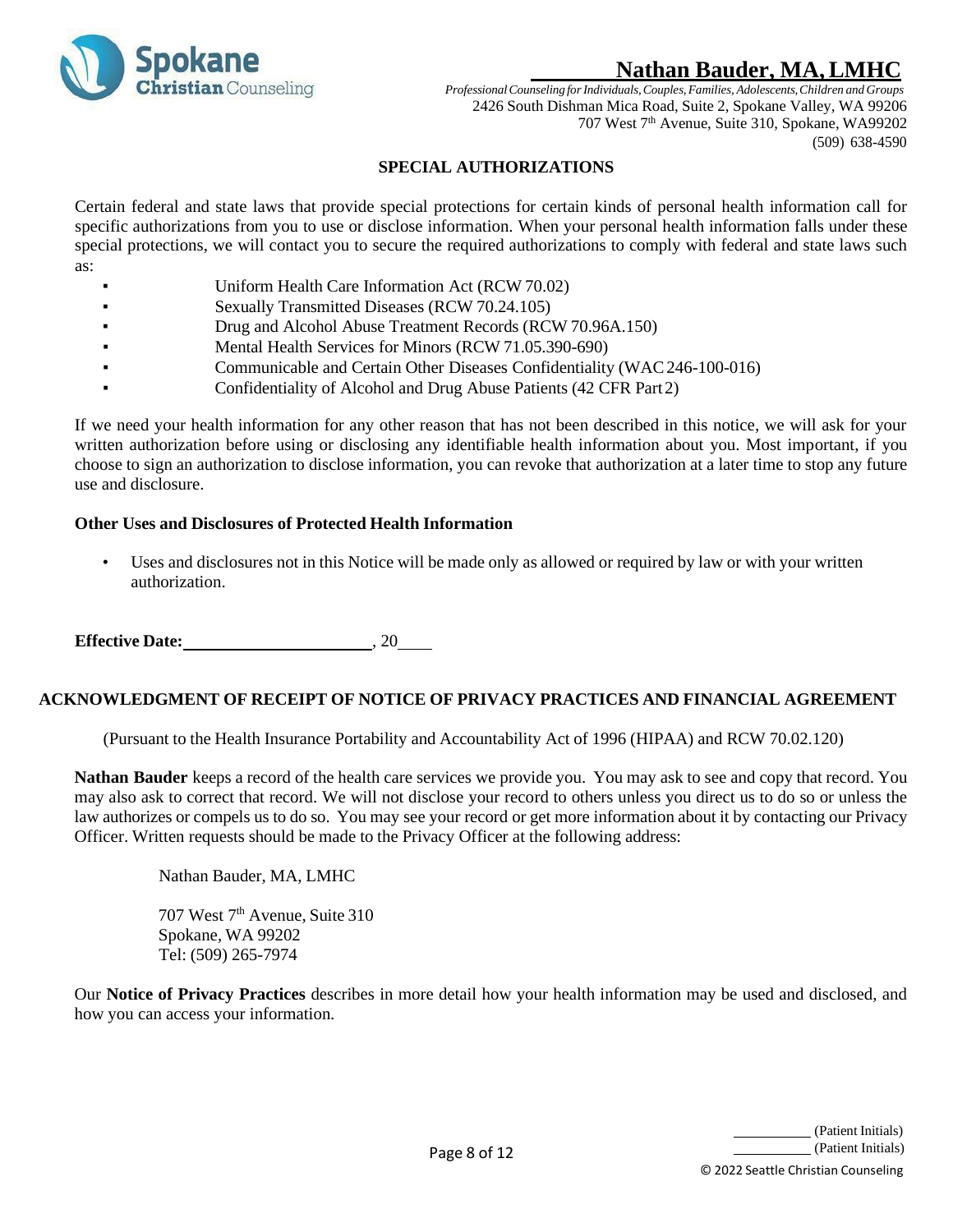

*ProfessionalCounseling forIndividuals,Couples,Families, Adolescents,Children and Groups* 2426 South Dishman Mica Road, Suite 2, Spokane Valley, WA 99206 707 West 7<sup>th</sup> Avenue, Suite 310, Spokane, WA99202 (509) 638-4590

### **SPECIAL AUTHORIZATIONS**

<span id="page-7-0"></span>Certain federal and state laws that provide special protections for certain kinds of personal health information call for specific authorizations from you to use or disclose information. When your personal health information falls under these special protections, we will contact you to secure the required authorizations to comply with federal and state laws such as:

- Uniform Health Care Information Act (RCW 70.02)
- Sexually Transmitted Diseases (RCW 70.24.105)
- Drug and Alcohol Abuse Treatment Records (RCW 70.96A.150)
- Mental Health Services for Minors (RCW 71.05.390-690)
- Communicable and Certain Other Diseases Confidentiality (WAC 246-100-016)
- Confidentiality of Alcohol and Drug Abuse Patients (42 CFR Part 2)

If we need your health information for any other reason that has not been described in this notice, we will ask for your written authorization before using or disclosing any identifiable health information about you. Most important, if you choose to sign an authorization to disclose information, you can revoke that authorization at a later time to stop any future use and disclosure.

### **Other Uses and Disclosures of Protected Health Information**

Uses and disclosures not in this Notice will be made only as allowed or required by law or with your written authorization.

**Effective Date:** , 20

#### **ACKNOWLEDGMENT OF RECEIPT OF NOTICE OF PRIVACY PRACTICES AND FINANCIAL AGREEMENT**

(Pursuant to the Health Insurance Portability and Accountability Act of 1996 (HIPAA) and RCW 70.02.120)

**Nathan Bauder** keeps a record of the health care services we provide you. You may ask to see and copy that record. You may also ask to correct that record. We will not disclose your record to others unless you direct us to do so or unless the law authorizes or compels us to do so. You may see your record or get more information about it by contacting our Privacy Officer. Written requests should be made to the Privacy Officer at the following address:

Nathan Bauder, MA, LMHC

707 West 7<sup>th</sup> Avenue, Suite 310 Spokane, WA 99202 Tel: (509) 265-7974

Our **Notice of Privacy Practices** describes in more detail how your health information may be used and disclosed, and how you can access your information.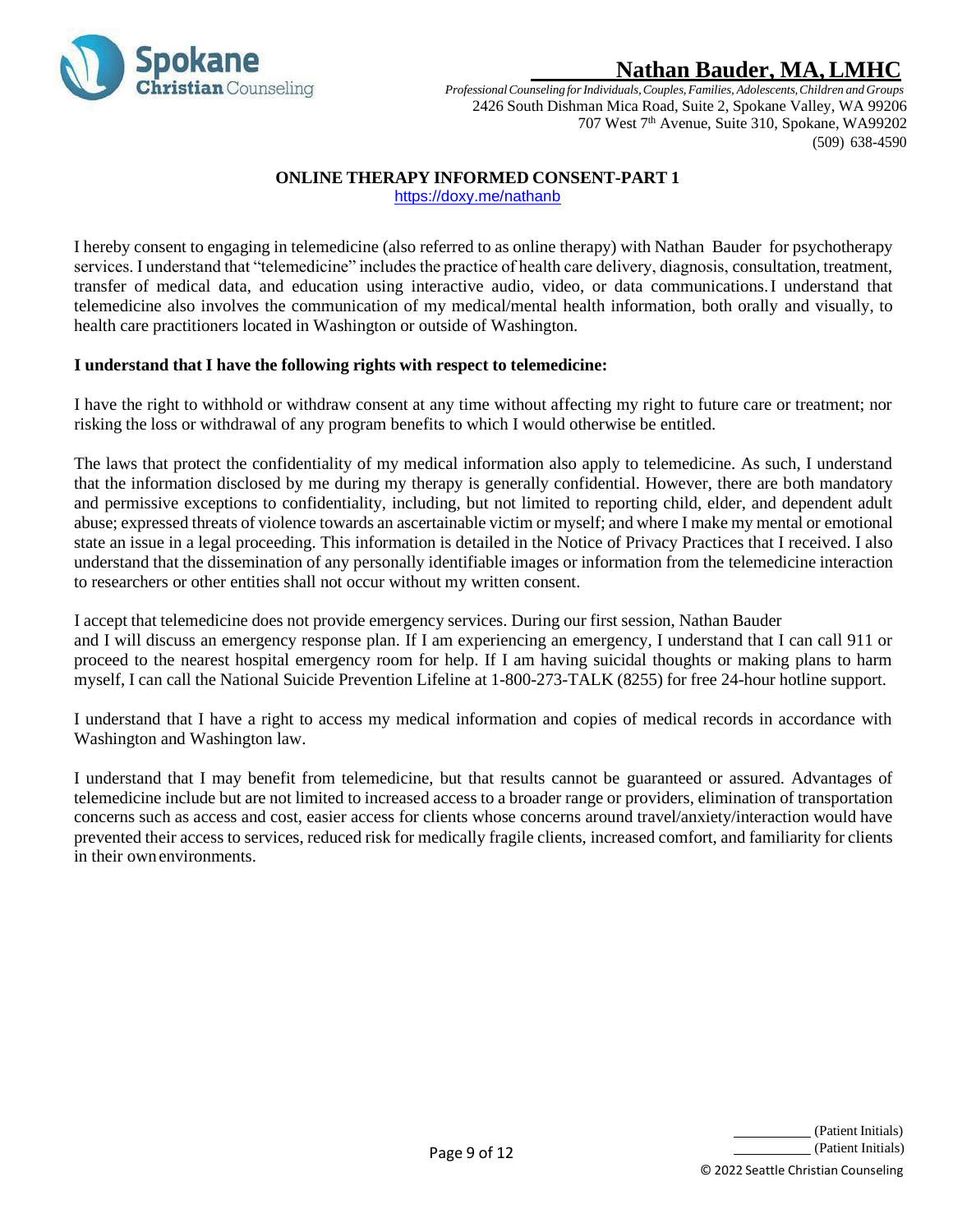

*ProfessionalCounseling forIndividuals,Couples,Families, Adolescents,Children and Groups* 2426 South Dishman Mica Road, Suite 2, Spokane Valley, WA 99206 707 West 7<sup>th</sup> Avenue, Suite 310, Spokane, WA99202 (509) 638-4590

## **ONLINE THERAPY INFORMED CONSENT-PART 1**

<https://doxy.me/nathanb>

<span id="page-8-0"></span>I hereby consent to engaging in telemedicine (also referred to as online therapy) with Nathan Bauder for psychotherapy services. I understand that "telemedicine" includes the practice of health care delivery, diagnosis, consultation, treatment, transfer of medical data, and education using interactive audio, video, or data communications.I understand that telemedicine also involves the communication of my medical/mental health information, both orally and visually, to health care practitioners located in Washington or outside of Washington.

### **I understand that I have the following rights with respect to telemedicine:**

I have the right to withhold or withdraw consent at any time without affecting my right to future care or treatment; nor risking the loss or withdrawal of any program benefits to which I would otherwise be entitled.

The laws that protect the confidentiality of my medical information also apply to telemedicine. As such, I understand that the information disclosed by me during my therapy is generally confidential. However, there are both mandatory and permissive exceptions to confidentiality, including, but not limited to reporting child, elder, and dependent adult abuse; expressed threats of violence towards an ascertainable victim or myself; and where I make my mental or emotional state an issue in a legal proceeding. This information is detailed in the Notice of Privacy Practices that I received. I also understand that the dissemination of any personally identifiable images or information from the telemedicine interaction to researchers or other entities shall not occur without my written consent.

I accept that telemedicine does not provide emergency services. During our first session, Nathan Bauder and I will discuss an emergency response plan. If I am experiencing an emergency, I understand that I can call 911 or proceed to the nearest hospital emergency room for help. If I am having suicidal thoughts or making plans to harm myself, I can call the National Suicide Prevention Lifeline at 1-800-273-TALK (8255) for free 24-hour hotline support.

I understand that I have a right to access my medical information and copies of medical records in accordance with Washington and Washington law.

I understand that I may benefit from telemedicine, but that results cannot be guaranteed or assured. Advantages of telemedicine include but are not limited to increased access to a broader range or providers, elimination of transportation concerns such as access and cost, easier access for clients whose concerns around travel/anxiety/interaction would have prevented their access to services, reduced risk for medically fragile clients, increased comfort, and familiarity for clients in their ownenvironments.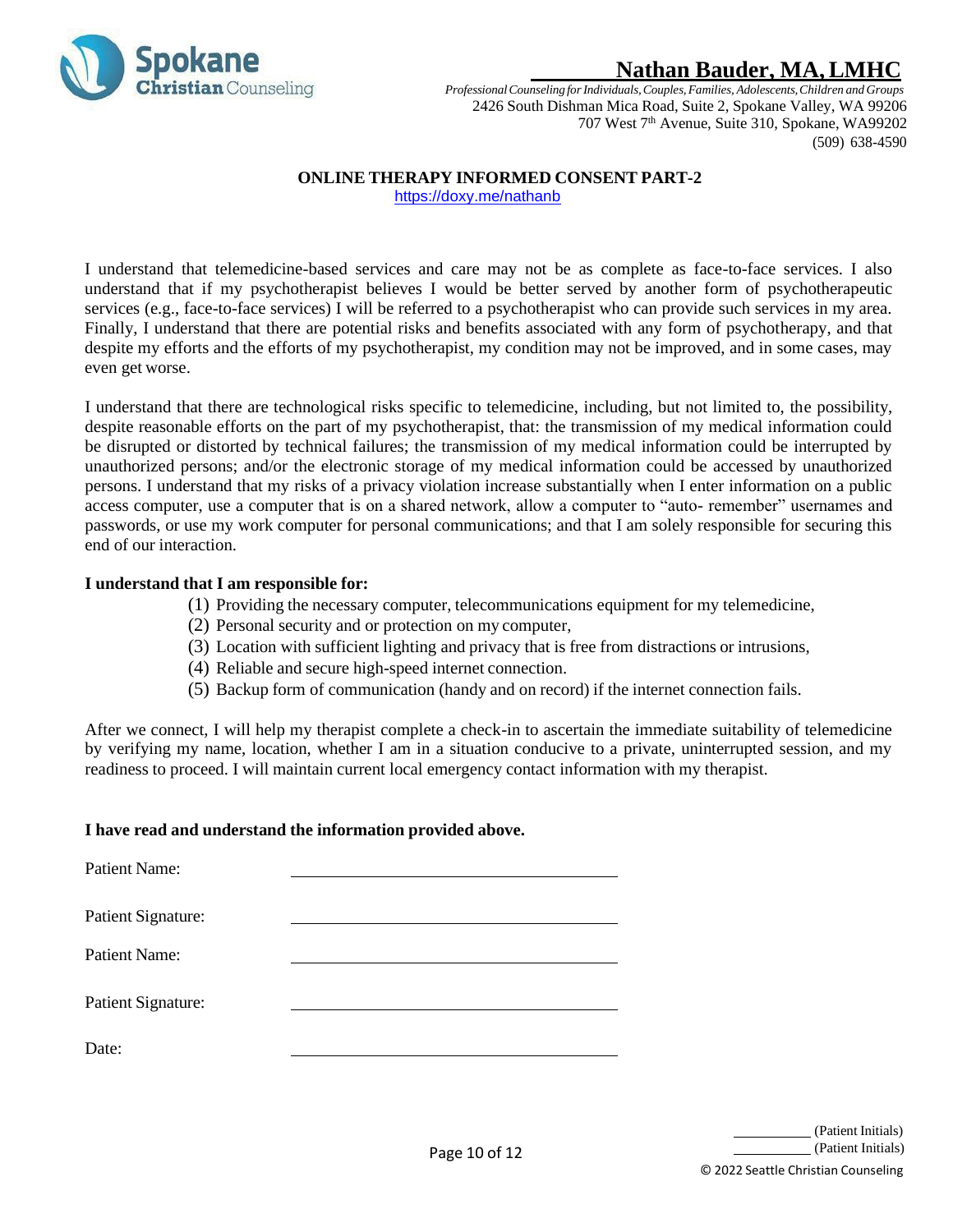

*ProfessionalCounseling forIndividuals,Couples,Families, Adolescents,Children and Groups* 2426 South Dishman Mica Road, Suite 2, Spokane Valley, WA 99206 707 West 7<sup>th</sup> Avenue, Suite 310, Spokane, WA99202 (509) 638-4590

## **ONLINE THERAPY INFORMED CONSENT PART-2**

<https://doxy.me/nathanb>

<span id="page-9-0"></span>I understand that telemedicine-based services and care may not be as complete as face-to-face services. I also understand that if my psychotherapist believes I would be better served by another form of psychotherapeutic services (e.g., face-to-face services) I will be referred to a psychotherapist who can provide such services in my area. Finally, I understand that there are potential risks and benefits associated with any form of psychotherapy, and that despite my efforts and the efforts of my psychotherapist, my condition may not be improved, and in some cases, may even get worse.

I understand that there are technological risks specific to telemedicine, including, but not limited to, the possibility, despite reasonable efforts on the part of my psychotherapist, that: the transmission of my medical information could be disrupted or distorted by technical failures; the transmission of my medical information could be interrupted by unauthorized persons; and/or the electronic storage of my medical information could be accessed by unauthorized persons. I understand that my risks of a privacy violation increase substantially when I enter information on a public access computer, use a computer that is on a shared network, allow a computer to "auto- remember" usernames and passwords, or use my work computer for personal communications; and that I am solely responsible for securing this end of our interaction.

#### **I understand that I am responsible for:**

- (1) Providing the necessary computer, telecommunications equipment for my telemedicine,
- (2) Personal security and or protection on my computer,
- (3) Location with sufficient lighting and privacy that is free from distractions or intrusions,
- (4) Reliable and secure high-speed internet connection.
- (5) Backup form of communication (handy and on record) if the internet connection fails.

After we connect, I will help my therapist complete a check-in to ascertain the immediate suitability of telemedicine by verifying my name, location, whether I am in a situation conducive to a private, uninterrupted session, and my readiness to proceed. I will maintain current local emergency contact information with my therapist.

### **I have read and understand the information provided above.**

Patient Name: Patient Signature: Patient Name: Patient Signature: Date: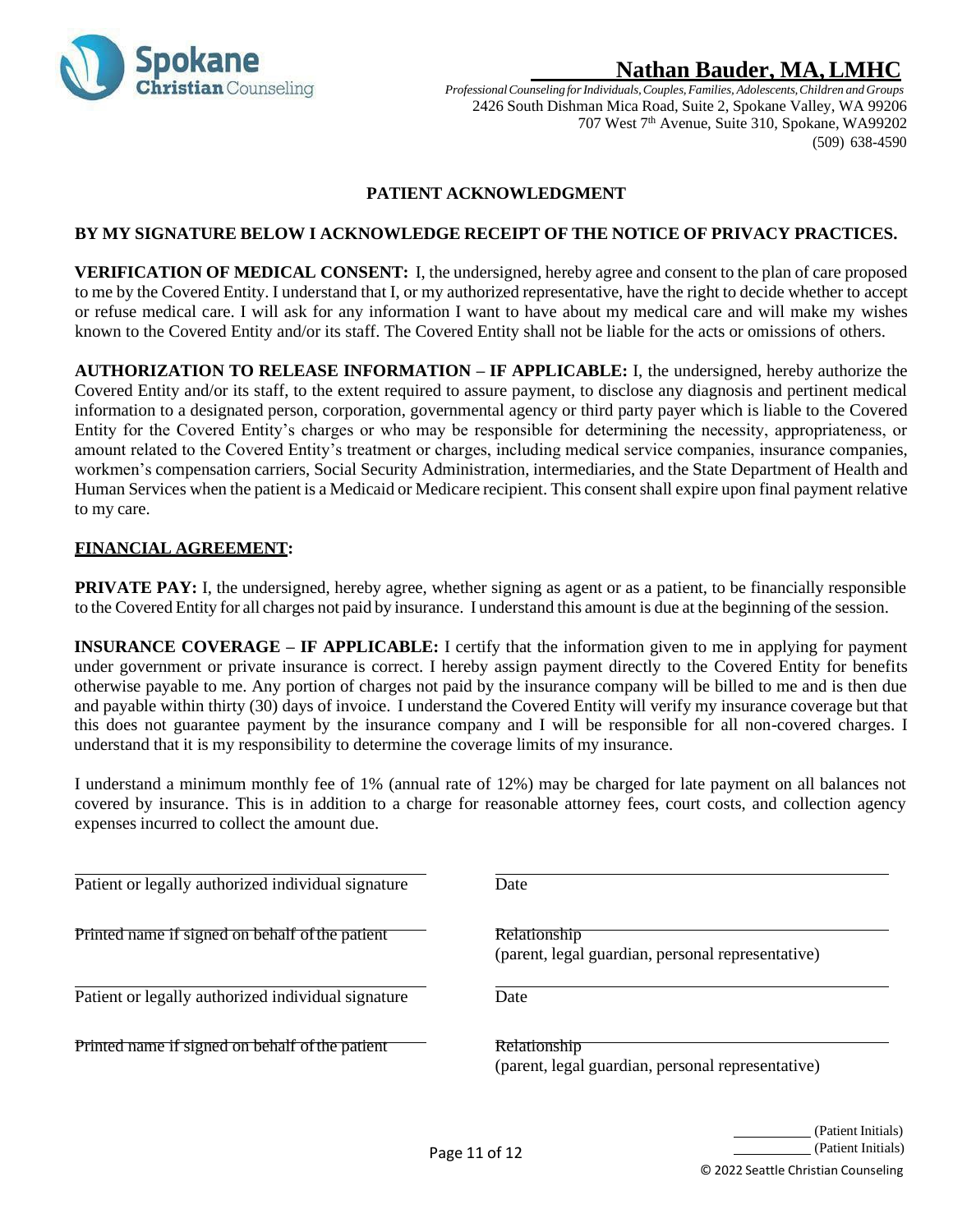

*ProfessionalCounseling forIndividuals,Couples,Families, Adolescents,Children and Groups* 2426 South Dishman Mica Road, Suite 2, Spokane Valley, WA 99206 707 West 7<sup>th</sup> Avenue, Suite 310, Spokane, WA99202 (509) 638-4590

### **PATIENT ACKNOWLEDGMENT**

#### <span id="page-10-0"></span>**BY MY SIGNATURE BELOW I ACKNOWLEDGE RECEIPT OF THE NOTICE OF PRIVACY PRACTICES.**

**VERIFICATION OF MEDICAL CONSENT:** I, the undersigned, hereby agree and consent to the plan of care proposed to me by the Covered Entity. I understand that I, or my authorized representative, have the right to decide whether to accept or refuse medical care. I will ask for any information I want to have about my medical care and will make my wishes known to the Covered Entity and/or its staff. The Covered Entity shall not be liable for the acts or omissions of others.

**AUTHORIZATION TO RELEASE INFORMATION – IF APPLICABLE:** I, the undersigned, hereby authorize the Covered Entity and/or its staff, to the extent required to assure payment, to disclose any diagnosis and pertinent medical information to a designated person, corporation, governmental agency or third party payer which is liable to the Covered Entity for the Covered Entity's charges or who may be responsible for determining the necessity, appropriateness, or amount related to the Covered Entity's treatment or charges, including medical service companies, insurance companies, workmen's compensation carriers, Social Security Administration, intermediaries, and the State Department of Health and Human Services when the patient is a Medicaid or Medicare recipient. This consent shall expire upon final payment relative to my care.

#### **FINANCIAL AGREEMENT:**

**PRIVATE PAY:** I, the undersigned, hereby agree, whether signing as agent or as a patient, to be financially responsible to the Covered Entity for all charges not paid by insurance. I understand this amount is due at the beginning of the session.

**INSURANCE COVERAGE – IF APPLICABLE:** I certify that the information given to me in applying for payment under government or private insurance is correct. I hereby assign payment directly to the Covered Entity for benefits otherwise payable to me. Any portion of charges not paid by the insurance company will be billed to me and is then due and payable within thirty (30) days of invoice. I understand the Covered Entity will verify my insurance coverage but that this does not guarantee payment by the insurance company and I will be responsible for all non-covered charges. I understand that it is my responsibility to determine the coverage limits of my insurance.

I understand a minimum monthly fee of 1% (annual rate of 12%) may be charged for late payment on all balances not covered by insurance. This is in addition to a charge for reasonable attorney fees, court costs, and collection agency expenses incurred to collect the amount due.

Patient or legally authorized individual signature Date

Printed name if signed on behalf of the patient **Relationship** 

Patient or legally authorized individual signature Date

Printed name if signed on behalf of the patient Relationship

(parent, legal guardian, personal representative)

(parent, legal guardian, personal representative)